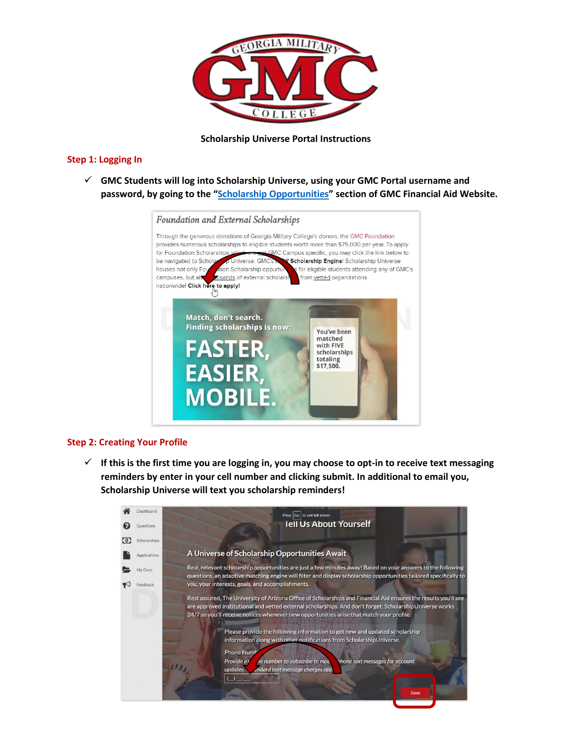

## **Scholarship Universe Portal Instructions**

## **Step 1: Logging In**

✓ **GMC Students will log into Scholarship Universe, using your GMC Portal username and password, by going to the "[Scholarship Opportunities](https://www.gmc.edu/prospective-students/scholarshfa.cms)" section of GMC Financial Aid Website.** 



## **Step 2: Creating Your Profile**

✓ **If this is the first time you are logging in, you may choose to opt-in to receive text messaging reminders by enter in your cell number and clicking submit. In additional to email you, Scholarship Universe will text you scholarship reminders!**

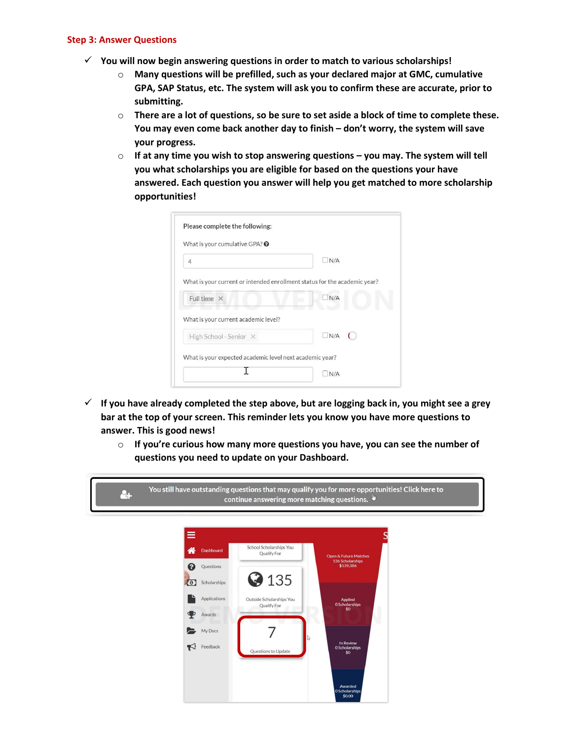## **Step 3: Answer Questions**

- ✓ **You will now begin answering questions in order to match to various scholarships!** 
	- o **Many questions will be prefilled, such as your declared major at GMC, cumulative GPA, SAP Status, etc. The system will ask you to confirm these are accurate, prior to submitting.**
	- o **There are a lot of questions, so be sure to set aside a block of time to complete these. You may even come back another day to finish – don't worry, the system will save your progress.**
	- o **If at any time you wish to stop answering questions – you may. The system will tell you what scholarships you are eligible for based on the questions your have answered. Each question you answer will help you get matched to more scholarship opportunities!**

| What is your cumulative GPA? $\odot$                                      |            |
|---------------------------------------------------------------------------|------------|
| $\overline{4}$                                                            | N/A        |
| What is your current or intended enrollment status for the academic year? |            |
| Full time $\times$                                                        | N/A        |
| What is your current academic level?                                      |            |
| High School - Senior X                                                    | $\Box$ N/A |
| What is your expected academic level next academic year?                  |            |

- ✓ **If you have already completed the step above, but are logging back in, you might see a grey bar at the top of your screen. This reminder lets you know you have more questions to answer. This is good news!** 
	- o **If you're curious how many more questions you have, you can see the number of questions you need to update on your Dashboard.**

You still have outstanding questions that may qualify you for more opportunities! Click here to  $\bullet$ continue answering more matching questions.  $\blacksquare$ 

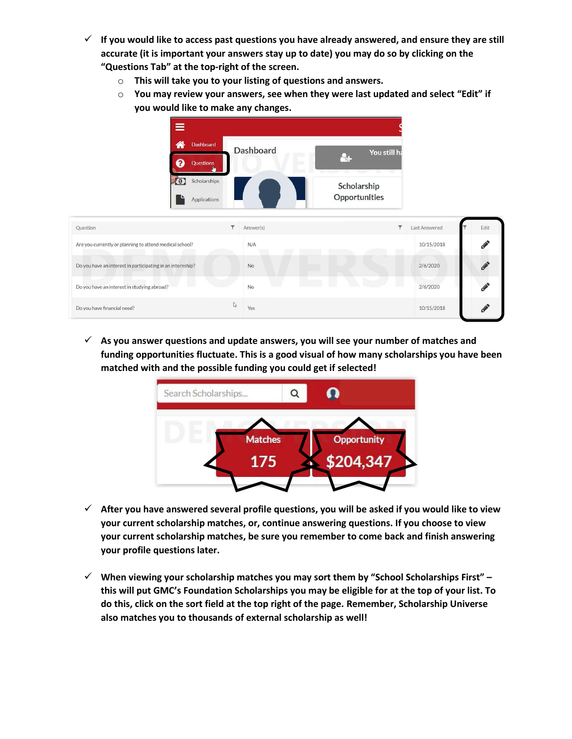- ✓ **If you would like to access past questions you have already answered, and ensure they are still accurate (it is important your answers stay up to date) you may do so by clicking on the "Questions Tab" at the top-right of the screen.** 
	- o **This will take you to your listing of questions and answers.**
	- o **You may review your answers, see when they were last updated and select "Edit" if you would like to make any changes.**

| Ξ                                                          |                                                                    |                                          |      |
|------------------------------------------------------------|--------------------------------------------------------------------|------------------------------------------|------|
| 俗<br>Dashboard<br>ฌ<br>Questions                           | <b>Dashboard</b><br>You still ha<br>$\frac{1}{2}$<br>n,<br>N.<br>w |                                          |      |
| Scholarships<br>$\odot$<br>Applications                    | Scholarship<br><b>Opportunities</b>                                |                                          |      |
| ۳<br>Question                                              | Answer(s)                                                          | $\overline{\mathbf{r}}$<br>Last Answered | Edit |
| Are you currently or planning to attend medical school?    | N/A                                                                | 10/15/2018                               |      |
| Do you have an interest in participating in an internship? | No                                                                 | 2/6/2020                                 |      |
| Do you have an interest in studying abroad?                | No                                                                 | 2/6/2020                                 |      |
| Do you have financial need?                                | $\mathbb{V}$<br>Yes                                                | 10/15/2018                               |      |

✓ **As you answer questions and update answers, you will see your number of matches and funding opportunities fluctuate. This is a good visual of how many scholarships you have been matched with and the possible funding you could get if selected!** 



- ✓ **After you have answered several profile questions, you will be asked if you would like to view your current scholarship matches, or, continue answering questions. If you choose to view your current scholarship matches, be sure you remember to come back and finish answering your profile questions later.**
- ✓ **When viewing your scholarship matches you may sort them by "School Scholarships First" – this will put GMC's Foundation Scholarships you may be eligible for at the top of your list. To do this, click on the sort field at the top right of the page. Remember, Scholarship Universe also matches you to thousands of external scholarship as well!**